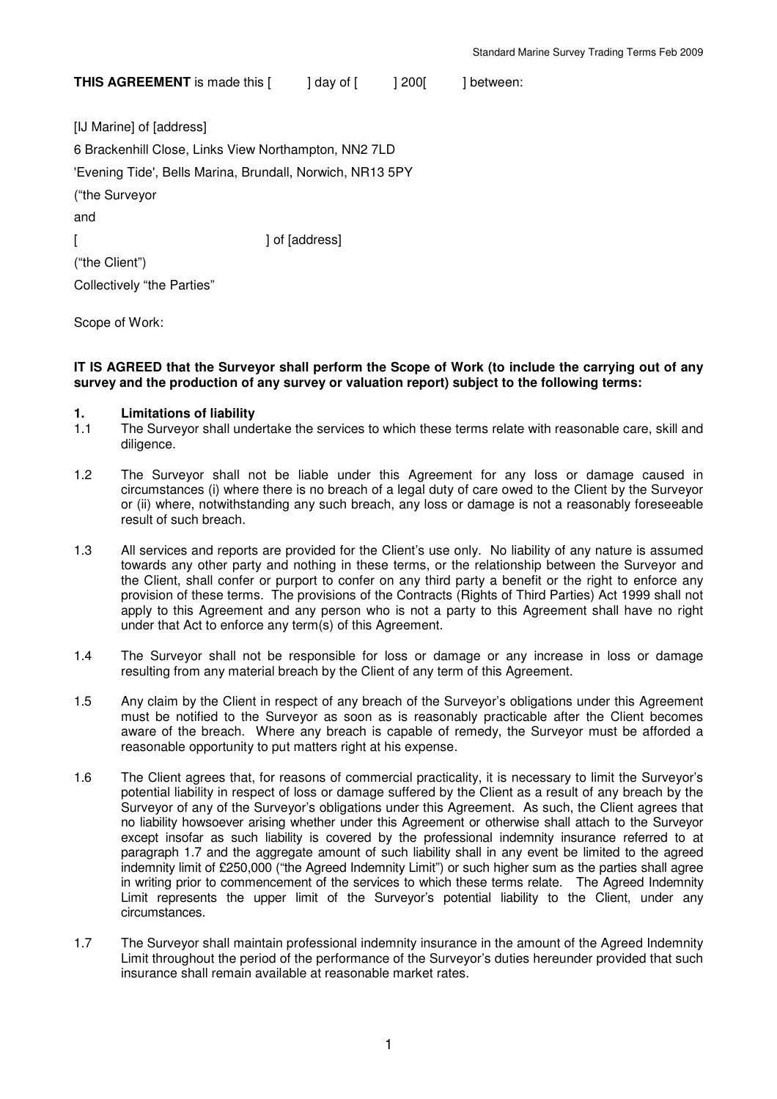**THIS AGREEMENT** is made this [ ] day of [ ] 200[ ] between:

[IJ Marine] of [address] 6 Brackenhill Close, Links View Northampton, NN2 7LD 'Evening Tide', Bells Marina, Brundall, Norwich, NR13 5PY ("the Surveyor and [ ] of [address] ("the Client") Collectively "the Parties"

Scope of Work:

#### **IT IS AGREED that the Surveyor shall perform the Scope of Work (to include the carrying out of any survey and the production of any survey or valuation report) subject to the following terms:**

### **1. Limitations of liability**

- 1.1 The Surveyor shall undertake the services to which these terms relate with reasonable care, skill and diligence.
- 1.2 The Surveyor shall not be liable under this Agreement for any loss or damage caused in circumstances (i) where there is no breach of a legal duty of care owed to the Client by the Surveyor or (ii) where, notwithstanding any such breach, any loss or damage is not a reasonably foreseeable result of such breach.
- 1.3 All services and reports are provided for the Client's use only. No liability of any nature is assumed towards any other party and nothing in these terms, or the relationship between the Surveyor and the Client, shall confer or purport to confer on any third party a benefit or the right to enforce any provision of these terms. The provisions of the Contracts (Rights of Third Parties) Act 1999 shall not apply to this Agreement and any person who is not a party to this Agreement shall have no right under that Act to enforce any term(s) of this Agreement.
- 1.4 The Surveyor shall not be responsible for loss or damage or any increase in loss or damage resulting from any material breach by the Client of any term of this Agreement.
- 1.5 Any claim by the Client in respect of any breach of the Surveyor's obligations under this Agreement must be notified to the Surveyor as soon as is reasonably practicable after the Client becomes aware of the breach. Where any breach is capable of remedy, the Surveyor must be afforded a reasonable opportunity to put matters right at his expense.
- 1.6 The Client agrees that, for reasons of commercial practicality, it is necessary to limit the Surveyor's potential liability in respect of loss or damage suffered by the Client as a result of any breach by the Surveyor of any of the Surveyor's obligations under this Agreement. As such, the Client agrees that no liability howsoever arising whether under this Agreement or otherwise shall attach to the Surveyor except insofar as such liability is covered by the professional indemnity insurance referred to at paragraph 1.7 and the aggregate amount of such liability shall in any event be limited to the agreed indemnity limit of £250,000 ("the Agreed Indemnity Limit") or such higher sum as the parties shall agree in writing prior to commencement of the services to which these terms relate. The Agreed Indemnity Limit represents the upper limit of the Surveyor's potential liability to the Client, under any circumstances.
- 1.7 The Surveyor shall maintain professional indemnity insurance in the amount of the Agreed Indemnity Limit throughout the period of the performance of the Surveyor's duties hereunder provided that such insurance shall remain available at reasonable market rates.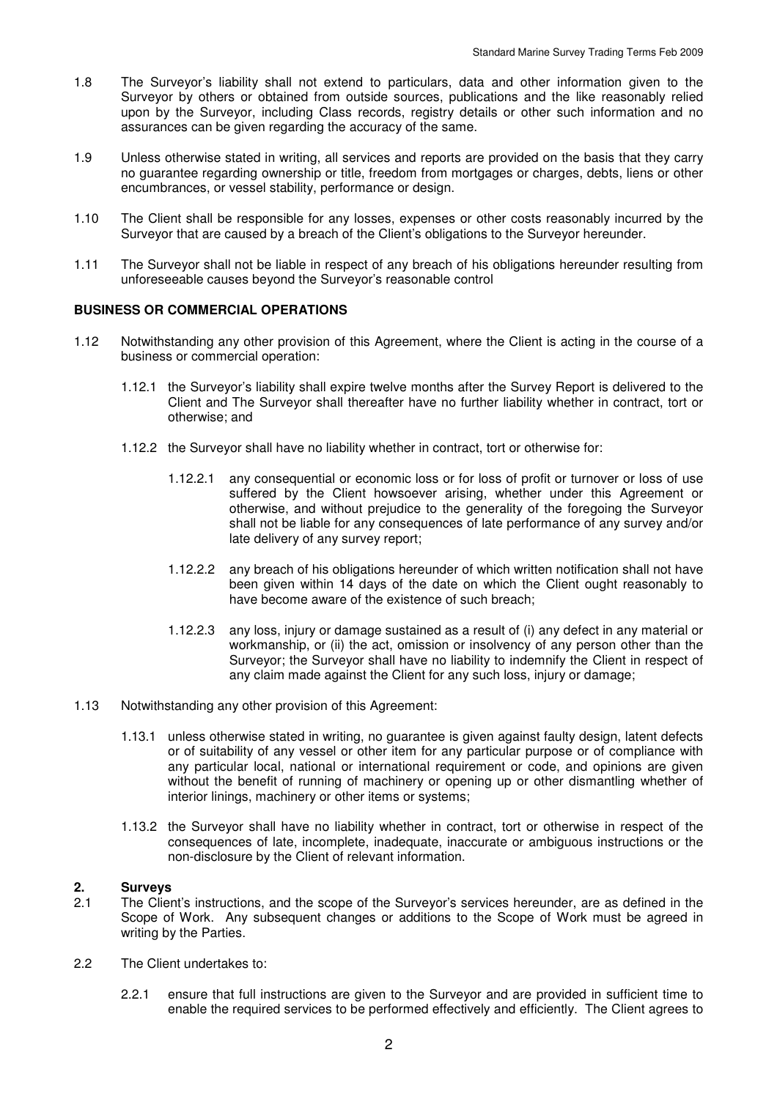- 1.8 The Surveyor's liability shall not extend to particulars, data and other information given to the Surveyor by others or obtained from outside sources, publications and the like reasonably relied upon by the Surveyor, including Class records, registry details or other such information and no assurances can be given regarding the accuracy of the same.
- 1.9 Unless otherwise stated in writing, all services and reports are provided on the basis that they carry no guarantee regarding ownership or title, freedom from mortgages or charges, debts, liens or other encumbrances, or vessel stability, performance or design.
- 1.10 The Client shall be responsible for any losses, expenses or other costs reasonably incurred by the Surveyor that are caused by a breach of the Client's obligations to the Surveyor hereunder.
- 1.11 The Surveyor shall not be liable in respect of any breach of his obligations hereunder resulting from unforeseeable causes beyond the Surveyor's reasonable control

### **BUSINESS OR COMMERCIAL OPERATIONS**

- 1.12 Notwithstanding any other provision of this Agreement, where the Client is acting in the course of a business or commercial operation:
	- 1.12.1 the Surveyor's liability shall expire twelve months after the Survey Report is delivered to the Client and The Surveyor shall thereafter have no further liability whether in contract, tort or otherwise; and
	- 1.12.2 the Surveyor shall have no liability whether in contract, tort or otherwise for:
		- 1.12.2.1 any consequential or economic loss or for loss of profit or turnover or loss of use suffered by the Client howsoever arising, whether under this Agreement or otherwise, and without prejudice to the generality of the foregoing the Surveyor shall not be liable for any consequences of late performance of any survey and/or late delivery of any survey report;
		- 1.12.2.2 any breach of his obligations hereunder of which written notification shall not have been given within 14 days of the date on which the Client ought reasonably to have become aware of the existence of such breach;
		- 1.12.2.3 any loss, injury or damage sustained as a result of (i) any defect in any material or workmanship, or (ii) the act, omission or insolvency of any person other than the Surveyor; the Surveyor shall have no liability to indemnify the Client in respect of any claim made against the Client for any such loss, injury or damage;
- 1.13 Notwithstanding any other provision of this Agreement:
	- 1.13.1 unless otherwise stated in writing, no guarantee is given against faulty design, latent defects or of suitability of any vessel or other item for any particular purpose or of compliance with any particular local, national or international requirement or code, and opinions are given without the benefit of running of machinery or opening up or other dismantling whether of interior linings, machinery or other items or systems;
	- 1.13.2 the Surveyor shall have no liability whether in contract, tort or otherwise in respect of the consequences of late, incomplete, inadequate, inaccurate or ambiguous instructions or the non-disclosure by the Client of relevant information.

## **2. Surveys**

- 2.1 The Client's instructions, and the scope of the Surveyor's services hereunder, are as defined in the Scope of Work. Any subsequent changes or additions to the Scope of Work must be agreed in writing by the Parties.
- 2.2 The Client undertakes to:
	- 2.2.1 ensure that full instructions are given to the Surveyor and are provided in sufficient time to enable the required services to be performed effectively and efficiently. The Client agrees to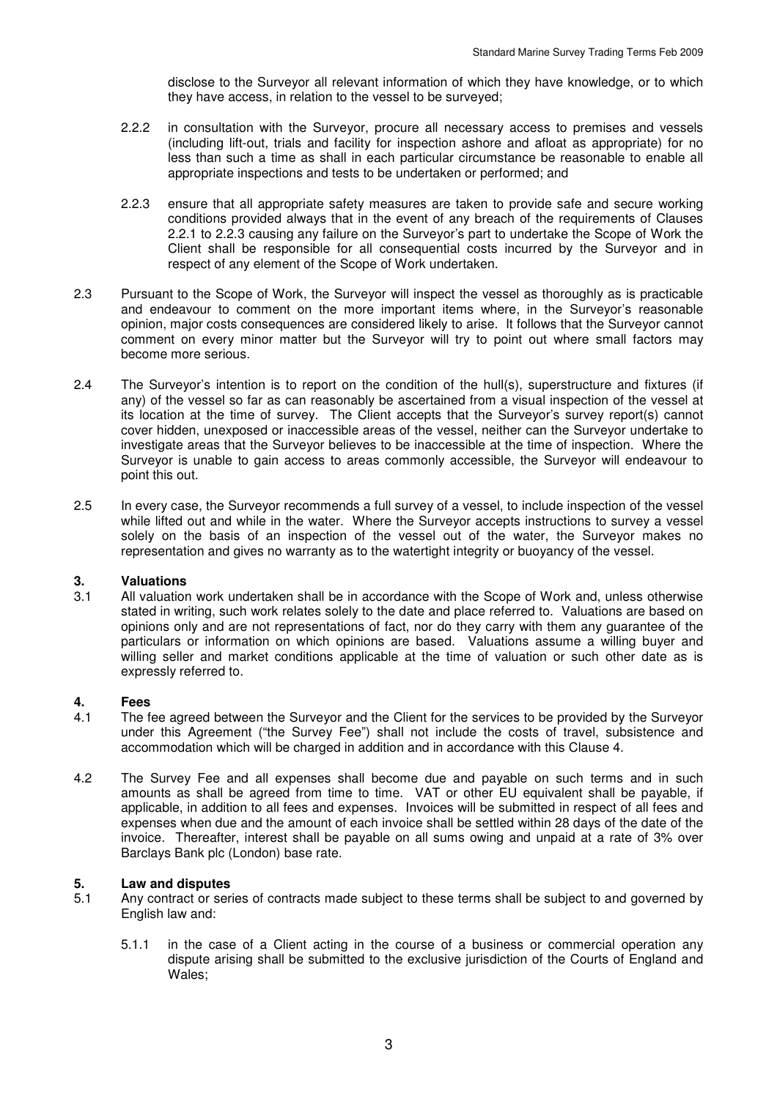disclose to the Surveyor all relevant information of which they have knowledge, or to which they have access, in relation to the vessel to be surveyed;

- 2.2.2 in consultation with the Surveyor, procure all necessary access to premises and vessels (including lift-out, trials and facility for inspection ashore and afloat as appropriate) for no less than such a time as shall in each particular circumstance be reasonable to enable all appropriate inspections and tests to be undertaken or performed; and
- 2.2.3 ensure that all appropriate safety measures are taken to provide safe and secure working conditions provided always that in the event of any breach of the requirements of Clauses 2.2.1 to 2.2.3 causing any failure on the Surveyor's part to undertake the Scope of Work the Client shall be responsible for all consequential costs incurred by the Surveyor and in respect of any element of the Scope of Work undertaken.
- 2.3 Pursuant to the Scope of Work, the Surveyor will inspect the vessel as thoroughly as is practicable and endeavour to comment on the more important items where, in the Surveyor's reasonable opinion, major costs consequences are considered likely to arise. It follows that the Surveyor cannot comment on every minor matter but the Surveyor will try to point out where small factors may become more serious.
- 2.4 The Surveyor's intention is to report on the condition of the hull(s), superstructure and fixtures (if any) of the vessel so far as can reasonably be ascertained from a visual inspection of the vessel at its location at the time of survey. The Client accepts that the Surveyor's survey report(s) cannot cover hidden, unexposed or inaccessible areas of the vessel, neither can the Surveyor undertake to investigate areas that the Surveyor believes to be inaccessible at the time of inspection. Where the Surveyor is unable to gain access to areas commonly accessible, the Surveyor will endeavour to point this out.
- 2.5 In every case, the Surveyor recommends a full survey of a vessel, to include inspection of the vessel while lifted out and while in the water. Where the Surveyor accepts instructions to survey a vessel solely on the basis of an inspection of the vessel out of the water, the Surveyor makes no representation and gives no warranty as to the watertight integrity or buoyancy of the vessel.

#### **3. Valuations**

3.1 All valuation work undertaken shall be in accordance with the Scope of Work and, unless otherwise stated in writing, such work relates solely to the date and place referred to. Valuations are based on opinions only and are not representations of fact, nor do they carry with them any guarantee of the particulars or information on which opinions are based. Valuations assume a willing buyer and willing seller and market conditions applicable at the time of valuation or such other date as is expressly referred to.

# **4. Fees**

- The fee agreed between the Surveyor and the Client for the services to be provided by the Surveyor under this Agreement ("the Survey Fee") shall not include the costs of travel, subsistence and accommodation which will be charged in addition and in accordance with this Clause 4.
- 4.2 The Survey Fee and all expenses shall become due and payable on such terms and in such amounts as shall be agreed from time to time. VAT or other EU equivalent shall be payable, if applicable, in addition to all fees and expenses. Invoices will be submitted in respect of all fees and expenses when due and the amount of each invoice shall be settled within 28 days of the date of the invoice. Thereafter, interest shall be payable on all sums owing and unpaid at a rate of 3% over Barclays Bank plc (London) base rate.

#### **5. Law and disputes**

- 5.1 Any contract or series of contracts made subject to these terms shall be subject to and governed by English law and:
	- 5.1.1 in the case of a Client acting in the course of a business or commercial operation any dispute arising shall be submitted to the exclusive jurisdiction of the Courts of England and Wales;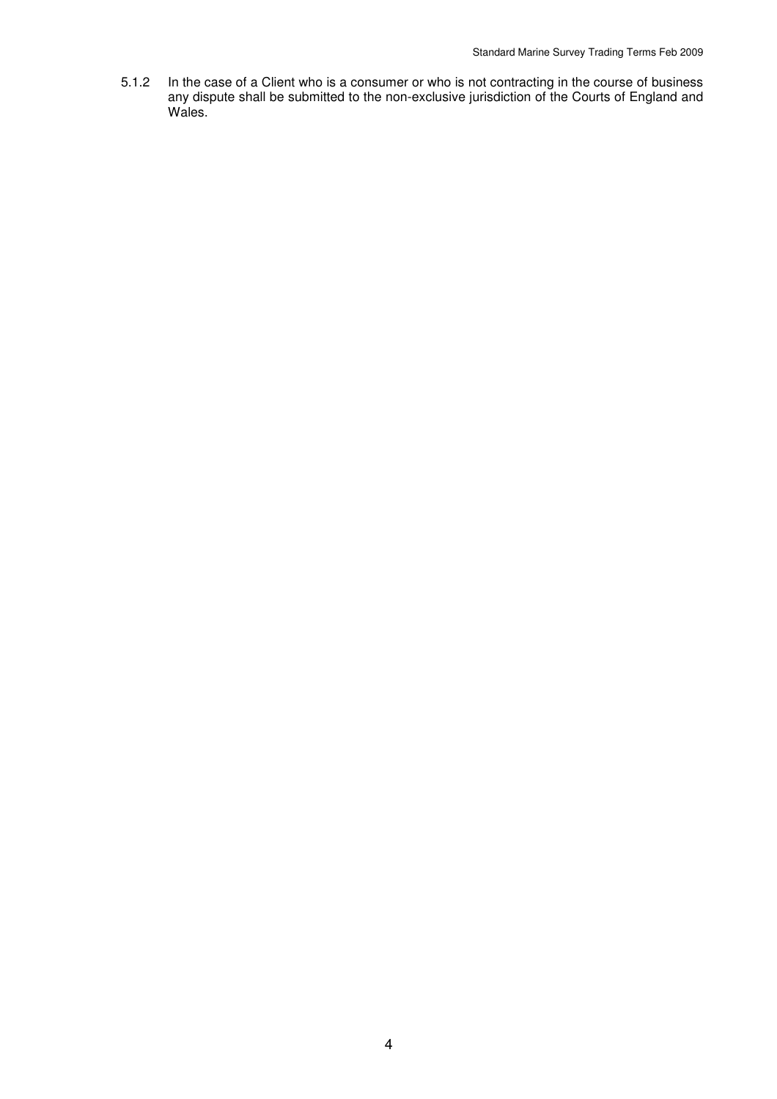5.1.2 In the case of a Client who is a consumer or who is not contracting in the course of business any dispute shall be submitted to the non-exclusive jurisdiction of the Courts of England and Wales.